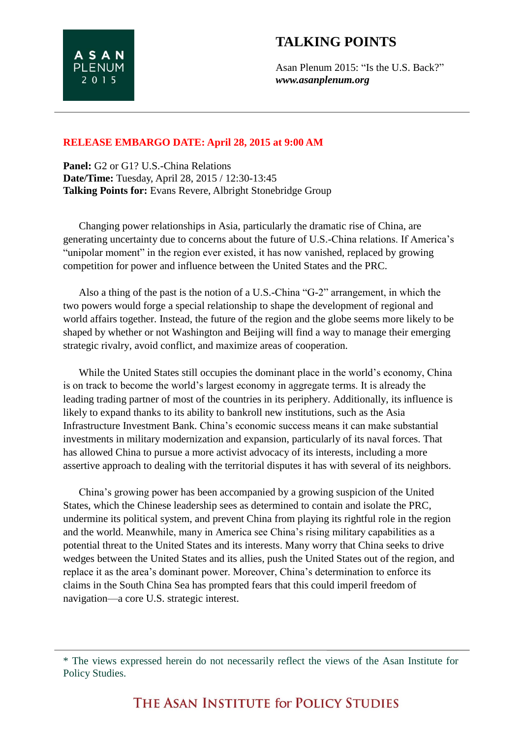Asan Plenum 2015: "Is the U.S. Back?" *www.asanplenum.org*

## **RELEASE EMBARGO DATE: April 28, 2015 at 9:00 AM**

**ASAN PLENUM** 2 0 1 5

**Panel:** G2 or G1? U.S.-China Relations **Date/Time:** Tuesday, April 28, 2015 / 12:30-13:45 **Talking Points for:** Evans Revere, Albright Stonebridge Group

Changing power relationships in Asia, particularly the dramatic rise of China, are generating uncertainty due to concerns about the future of U.S.-China relations. If America's "unipolar moment" in the region ever existed, it has now vanished, replaced by growing competition for power and influence between the United States and the PRC.

Also a thing of the past is the notion of a U.S.-China "G-2" arrangement, in which the two powers would forge a special relationship to shape the development of regional and world affairs together. Instead, the future of the region and the globe seems more likely to be shaped by whether or not Washington and Beijing will find a way to manage their emerging strategic rivalry, avoid conflict, and maximize areas of cooperation.

While the United States still occupies the dominant place in the world's economy, China is on track to become the world's largest economy in aggregate terms. It is already the leading trading partner of most of the countries in its periphery. Additionally, its influence is likely to expand thanks to its ability to bankroll new institutions, such as the Asia Infrastructure Investment Bank. China's economic success means it can make substantial investments in military modernization and expansion, particularly of its naval forces. That has allowed China to pursue a more activist advocacy of its interests, including a more assertive approach to dealing with the territorial disputes it has with several of its neighbors.

China's growing power has been accompanied by a growing suspicion of the United States, which the Chinese leadership sees as determined to contain and isolate the PRC, undermine its political system, and prevent China from playing its rightful role in the region and the world. Meanwhile, many in America see China's rising military capabilities as a potential threat to the United States and its interests. Many worry that China seeks to drive wedges between the United States and its allies, push the United States out of the region, and replace it as the area's dominant power. Moreover, China's determination to enforce its claims in the South China Sea has prompted fears that this could imperil freedom of navigation—a core U.S. strategic interest.

<sup>\*</sup> The views expressed herein do not necessarily reflect the views of the Asan Institute for Policy Studies.